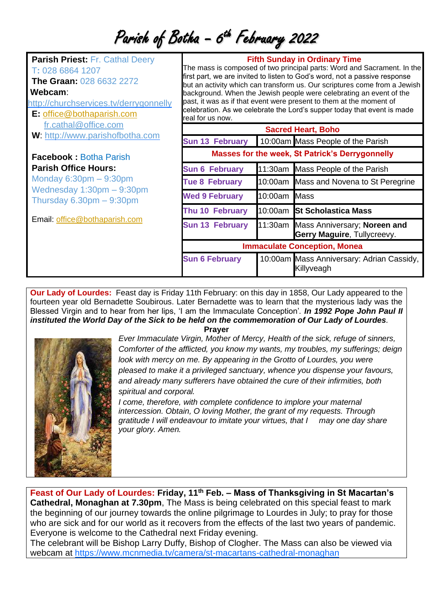Parish of Botha - 6<sup>th</sup> February 2022

| <b>Parish Priest: Fr. Cathal Deery</b><br>T: 028 6864 1207<br><b>The Graan: 028 6632 2272</b><br>Webcam:<br>http://churchservices.tv/derrygonnelly<br>E: office@bothaparish.com | real for us now.                                       | <b>Fifth Sunday in Ordinary Time</b><br>The mass is composed of two principal parts: Word and Sacrament. In the<br>first part, we are invited to listen to God's word, not a passive response<br>but an activity which can transform us. Our scriptures come from a Jewish<br>background. When the Jewish people were celebrating an event of the<br>past, it was as if that event were present to them at the moment of<br>celebration. As we celebrate the Lord's supper today that event is made |                                                                     |
|---------------------------------------------------------------------------------------------------------------------------------------------------------------------------------|--------------------------------------------------------|-----------------------------------------------------------------------------------------------------------------------------------------------------------------------------------------------------------------------------------------------------------------------------------------------------------------------------------------------------------------------------------------------------------------------------------------------------------------------------------------------------|---------------------------------------------------------------------|
| fr.cathal@office.com                                                                                                                                                            | <b>Sacred Heart, Boho</b>                              |                                                                                                                                                                                                                                                                                                                                                                                                                                                                                                     |                                                                     |
| W: http://www.parishofbotha.com                                                                                                                                                 | <b>Sun 13 February</b>                                 |                                                                                                                                                                                                                                                                                                                                                                                                                                                                                                     | 10:00am Mass People of the Parish                                   |
| <b>Facebook: Botha Parish</b>                                                                                                                                                   | <b>Masses for the week, St Patrick's Derrygonnelly</b> |                                                                                                                                                                                                                                                                                                                                                                                                                                                                                                     |                                                                     |
| <b>Parish Office Hours:</b>                                                                                                                                                     | <b>Sun 6 February</b>                                  |                                                                                                                                                                                                                                                                                                                                                                                                                                                                                                     | 11:30am Mass People of the Parish                                   |
| Monday $6:30$ pm $-9:30$ pm<br>Wednesday $1:30$ pm $-9:30$ pm<br>Thursday $6.30pm - 9:30pm$<br>Email: office@bothaparish.com                                                    | <b>Tue 8 February</b>                                  |                                                                                                                                                                                                                                                                                                                                                                                                                                                                                                     | 10:00am Mass and Novena to St Peregrine                             |
|                                                                                                                                                                                 | <b>Wed 9 February</b>                                  | 10:00am Mass                                                                                                                                                                                                                                                                                                                                                                                                                                                                                        |                                                                     |
|                                                                                                                                                                                 | Thu 10 February                                        |                                                                                                                                                                                                                                                                                                                                                                                                                                                                                                     | 10:00am St Scholastica Mass                                         |
|                                                                                                                                                                                 | <b>Sun 13 February</b>                                 |                                                                                                                                                                                                                                                                                                                                                                                                                                                                                                     | 11:30am Mass Anniversary; Noreen and<br>Gerry Maguire, Tullycreevy. |
|                                                                                                                                                                                 | <b>Immaculate Conception, Monea</b>                    |                                                                                                                                                                                                                                                                                                                                                                                                                                                                                                     |                                                                     |
|                                                                                                                                                                                 | <b>Sun 6 February</b>                                  |                                                                                                                                                                                                                                                                                                                                                                                                                                                                                                     | 10:00am Mass Anniversary: Adrian Cassidy,<br>Killyveagh             |

**Our Lady of Lourdes:** Feast day is Friday 11th February: on this day in 1858, Our Lady appeared to the fourteen year old Bernadette Soubirous. Later Bernadette was to learn that the mysterious lady was the Blessed Virgin and to hear from her lips, 'I am the Immaculate Conception'*. In 1992 Pope John Paul II instituted the World Day of the Sick to be held on the commemoration of Our Lady of Lourdes.*



**Prayer**

*Ever Immaculate Virgin, Mother of Mercy, Health of the sick, refuge of sinners, Comforter of the afflicted, you know my wants, my troubles, my sufferings; deign look with mercy on me. By appearing in the Grotto of Lourdes, you were pleased to make it a privileged sanctuary, whence you dispense your favours, and already many sufferers have obtained the cure of their infirmities, both spiritual and corporal.* 

*I come, therefore, with complete confidence to implore your maternal intercession. Obtain, O loving Mother, the grant of my requests. Through gratitude I will endeavour to imitate your virtues, that I may one day share your glory. Amen.*

**Feast of Our Lady of Lourdes: Friday, 11th Feb. – Mass of Thanksgiving in St Macartan's Cathedral, Monaghan at 7.30pm**, The Mass is being celebrated on this special feast to mark the beginning of our journey towards the online pilgrimage to Lourdes in July; to pray for those who are sick and for our world as it recovers from the effects of the last two years of pandemic. Everyone is welcome to the Cathedral next Friday evening.

The celebrant will be Bishop Larry Duffy, Bishop of Clogher. The Mass can also be viewed via webcam at<https://www.mcnmedia.tv/camera/st-macartans-cathedral-monaghan>